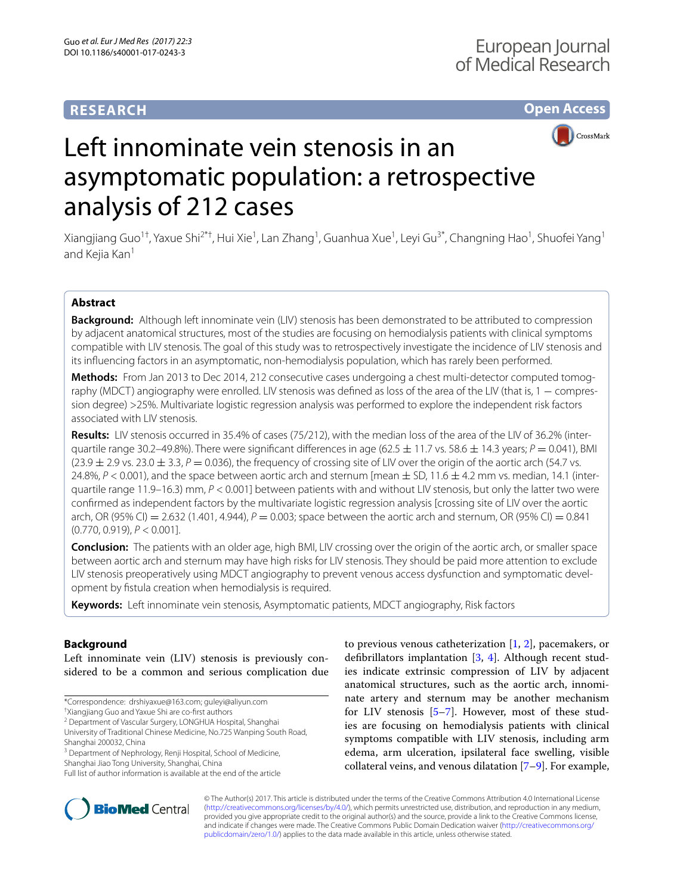# **RESEARCH**

**Open Access**



# Left innominate vein stenosis in an asymptomatic population: a retrospective analysis of 212 cases

Xiangjiang Guo<sup>1†</sup>, Yaxue Shi<sup>2\*†</sup>, Hui Xie<sup>1</sup>, Lan Zhang<sup>1</sup>, Guanhua Xue<sup>1</sup>, Leyi Gu<sup>3\*</sup>, Changning Hao<sup>1</sup>, Shuofei Yang<sup>1</sup> and Kejia Kan<sup>1</sup>

# **Abstract**

**Background:** Although left innominate vein (LIV) stenosis has been demonstrated to be attributed to compression by adjacent anatomical structures, most of the studies are focusing on hemodialysis patients with clinical symptoms compatible with LIV stenosis. The goal of this study was to retrospectively investigate the incidence of LIV stenosis and its influencing factors in an asymptomatic, non-hemodialysis population, which has rarely been performed.

**Methods:** From Jan 2013 to Dec 2014, 212 consecutive cases undergoing a chest multi-detector computed tomography (MDCT) angiography were enrolled. LIV stenosis was defined as loss of the area of the LIV (that is, 1 − compression degree) >25%. Multivariate logistic regression analysis was performed to explore the independent risk factors associated with LIV stenosis.

**Results:** LIV stenosis occurred in 35.4% of cases (75/212), with the median loss of the area of the LIV of 36.2% (interquartile range 30.2–49.8%). There were significant differences in age (62.5  $\pm$  11.7 vs. 58.6  $\pm$  14.3 years;  $P = 0.041$ ), BMI  $(23.9 \pm 2.9 \text{ vs. } 23.0 \pm 3.3, P = 0.036)$ , the frequency of crossing site of LIV over the origin of the aortic arch (54.7 vs. 24.8%,  $P < 0.001$ ), and the space between aortic arch and sternum [mean  $\pm$  SD, 11.6  $\pm$  4.2 mm vs. median, 14.1 (interquartile range 11.9–16.3) mm,  $P < 0.001$ ] between patients with and without LIV stenosis, but only the latter two were confirmed as independent factors by the multivariate logistic regression analysis [crossing site of LIV over the aortic arch, OR (95% CI) = 2.632 (1.401, 4.944),  $P = 0.003$ ; space between the aortic arch and sternum, OR (95% CI) = 0.841 (0.770, 0.919), *P* < 0.001].

**Conclusion:** The patients with an older age, high BMI, LIV crossing over the origin of the aortic arch, or smaller space between aortic arch and sternum may have high risks for LIV stenosis. They should be paid more attention to exclude LIV stenosis preoperatively using MDCT angiography to prevent venous access dysfunction and symptomatic development by fistula creation when hemodialysis is required.

**Keywords:** Left innominate vein stenosis, Asymptomatic patients, MDCT angiography, Risk factors

# **Background**

Left innominate vein (LIV) stenosis is previously considered to be a common and serious complication due

† Xiangjiang Guo and Yaxue Shi are co-first authors

<sup>2</sup> Department of Vascular Surgery, LONGHUA Hospital, Shanghai University of Traditional Chinese Medicine, No.725 Wanping South Road, Shanghai 200032, China

Shanghai Jiao Tong University, Shanghai, China





© The Author(s) 2017. This article is distributed under the terms of the Creative Commons Attribution 4.0 International License [\(http://creativecommons.org/licenses/by/4.0/\)](http://creativecommons.org/licenses/by/4.0/), which permits unrestricted use, distribution, and reproduction in any medium, provided you give appropriate credit to the original author(s) and the source, provide a link to the Creative Commons license, and indicate if changes were made. The Creative Commons Public Domain Dedication waiver ([http://creativecommons.org/](http://creativecommons.org/publicdomain/zero/1.0/) [publicdomain/zero/1.0/](http://creativecommons.org/publicdomain/zero/1.0/)) applies to the data made available in this article, unless otherwise stated.

<sup>\*</sup>Correspondence: drshiyaxue@163.com; guleyi@aliyun.com

<sup>&</sup>lt;sup>3</sup> Department of Nephrology, Renji Hospital, School of Medicine,

Full list of author information is available at the end of the article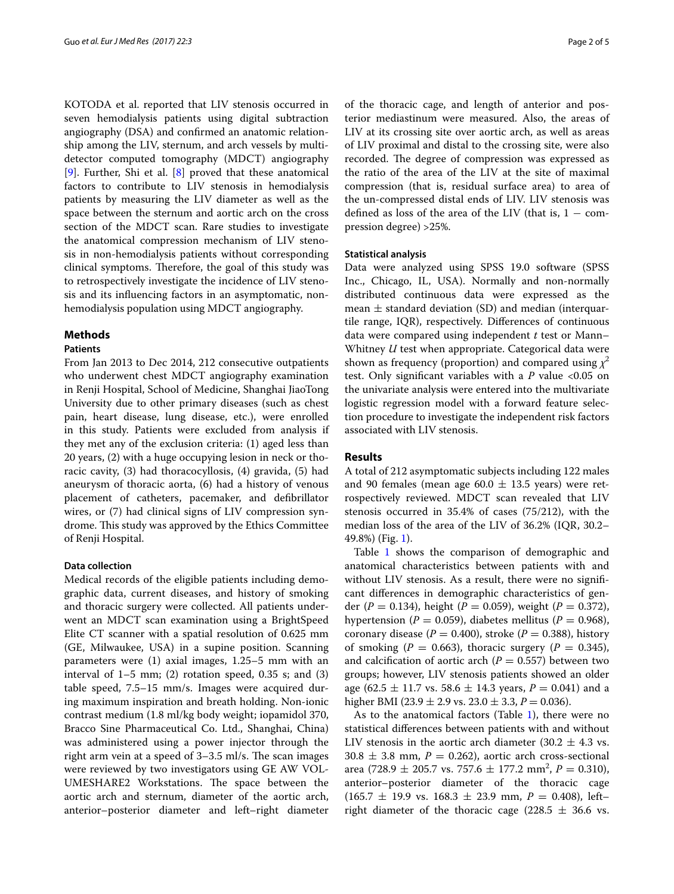KOTODA et al. reported that LIV stenosis occurred in seven hemodialysis patients using digital subtraction angiography (DSA) and confirmed an anatomic relationship among the LIV, sternum, and arch vessels by multidetector computed tomography (MDCT) angiography [[9\]](#page-4-6). Further, Shi et al. [[8](#page-4-7)] proved that these anatomical factors to contribute to LIV stenosis in hemodialysis patients by measuring the LIV diameter as well as the space between the sternum and aortic arch on the cross section of the MDCT scan. Rare studies to investigate the anatomical compression mechanism of LIV stenosis in non-hemodialysis patients without corresponding clinical symptoms. Therefore, the goal of this study was to retrospectively investigate the incidence of LIV stenosis and its influencing factors in an asymptomatic, nonhemodialysis population using MDCT angiography.

## **Methods**

## **Patients**

From Jan 2013 to Dec 2014, 212 consecutive outpatients who underwent chest MDCT angiography examination in Renji Hospital, School of Medicine, Shanghai JiaoTong University due to other primary diseases (such as chest pain, heart disease, lung disease, etc.), were enrolled in this study. Patients were excluded from analysis if they met any of the exclusion criteria: (1) aged less than 20 years, (2) with a huge occupying lesion in neck or thoracic cavity, (3) had thoracocyllosis, (4) gravida, (5) had aneurysm of thoracic aorta, (6) had a history of venous placement of catheters, pacemaker, and defibrillator wires, or (7) had clinical signs of LIV compression syndrome. This study was approved by the Ethics Committee of Renji Hospital.

## **Data collection**

Medical records of the eligible patients including demographic data, current diseases, and history of smoking and thoracic surgery were collected. All patients underwent an MDCT scan examination using a BrightSpeed Elite CT scanner with a spatial resolution of 0.625 mm (GE, Milwaukee, USA) in a supine position. Scanning parameters were (1) axial images, 1.25–5 mm with an interval of  $1-5$  mm; (2) rotation speed, 0.35 s; and (3) table speed, 7.5–15 mm/s. Images were acquired during maximum inspiration and breath holding. Non-ionic contrast medium (1.8 ml/kg body weight; iopamidol 370, Bracco Sine Pharmaceutical Co. Ltd., Shanghai, China) was administered using a power injector through the right arm vein at a speed of 3–3.5 ml/s. The scan images were reviewed by two investigators using GE AW VOL-UMESHARE2 Workstations. The space between the aortic arch and sternum, diameter of the aortic arch, anterior–posterior diameter and left–right diameter of the thoracic cage, and length of anterior and posterior mediastinum were measured. Also, the areas of LIV at its crossing site over aortic arch, as well as areas of LIV proximal and distal to the crossing site, were also recorded. The degree of compression was expressed as the ratio of the area of the LIV at the site of maximal compression (that is, residual surface area) to area of the un-compressed distal ends of LIV. LIV stenosis was defined as loss of the area of the LIV (that is,  $1 - \text{com-}$ pression degree) >25%.

#### **Statistical analysis**

Data were analyzed using SPSS 19.0 software (SPSS Inc., Chicago, IL, USA). Normally and non-normally distributed continuous data were expressed as the mean  $\pm$  standard deviation (SD) and median (interquartile range, IQR), respectively. Differences of continuous data were compared using independent *t* test or Mann– Whitney *U* test when appropriate. Categorical data were shown as frequency (proportion) and compared using  $\chi^2$ test. Only significant variables with a *P* value <0.05 on the univariate analysis were entered into the multivariate logistic regression model with a forward feature selection procedure to investigate the independent risk factors associated with LIV stenosis.

#### **Results**

A total of 212 asymptomatic subjects including 122 males and 90 females (mean age  $60.0 \pm 13.5$  years) were retrospectively reviewed. MDCT scan revealed that LIV stenosis occurred in 35.4% of cases (75/212), with the median loss of the area of the LIV of 36.2% (IQR, 30.2– 49.8%) (Fig. [1](#page-2-0)).

Table [1](#page-2-1) shows the comparison of demographic and anatomical characteristics between patients with and without LIV stenosis. As a result, there were no significant differences in demographic characteristics of gender (*P* = 0.134), height (*P* = 0.059), weight (*P* = 0.372), hypertension ( $P = 0.059$ ), diabetes mellitus ( $P = 0.968$ ), coronary disease  $(P = 0.400)$ , stroke  $(P = 0.388)$ , history of smoking ( $P = 0.663$ ), thoracic surgery ( $P = 0.345$ ), and calcification of aortic arch  $(P = 0.557)$  between two groups; however, LIV stenosis patients showed an older age  $(62.5 \pm 11.7 \text{ vs. } 58.6 \pm 14.3 \text{ years}, P = 0.041)$  and a higher BMI (23.9  $\pm$  2.9 vs. 23.0  $\pm$  3.3, *P* = 0.036).

As to the anatomical factors (Table  $1$ ), there were no statistical differences between patients with and without LIV stenosis in the aortic arch diameter  $(30.2 \pm 4.3 \text{ vs.})$  $30.8 \pm 3.8$  mm,  $P = 0.262$ ), aortic arch cross-sectional area (728.9  $\pm$  205.7 vs. 757.6  $\pm$  177.2 mm<sup>2</sup>, *P* = 0.310), anterior–posterior diameter of the thoracic cage  $(165.7 \pm 19.9 \text{ vs. } 168.3 \pm 23.9 \text{ mm}, P = 0.408)$ , leftright diameter of the thoracic cage (228.5  $\pm$  36.6 vs.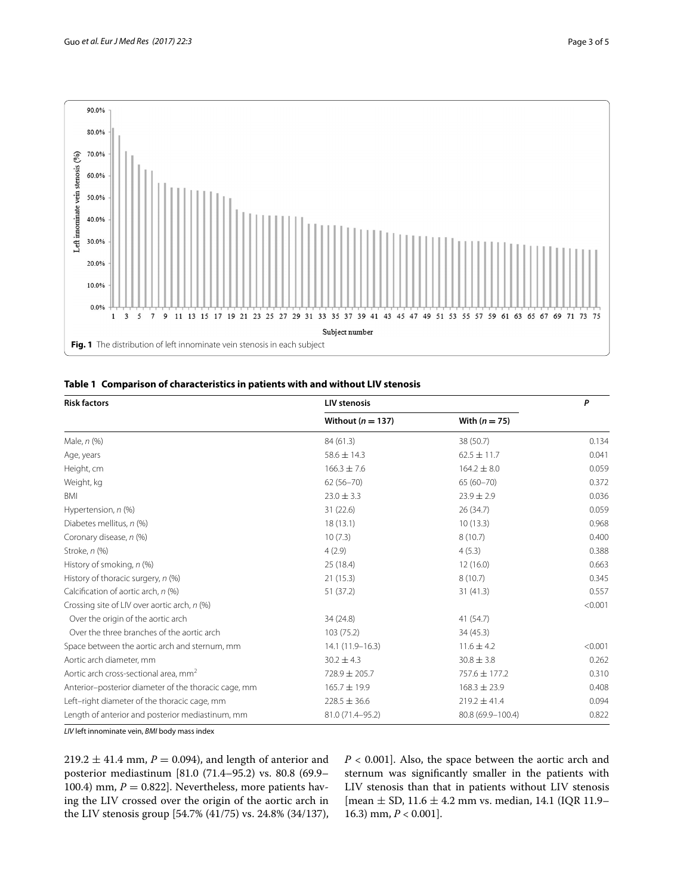

<span id="page-2-1"></span><span id="page-2-0"></span>

|  |  |  |  | Table 1 Comparison of characteristics in patients with and without LIV stenosis |
|--|--|--|--|---------------------------------------------------------------------------------|
|--|--|--|--|---------------------------------------------------------------------------------|

| <b>Risk factors</b>                                  | <b>LIV stenosis</b>   | P                 |         |
|------------------------------------------------------|-----------------------|-------------------|---------|
|                                                      | Without ( $n = 137$ ) | With $(n = 75)$   |         |
| Male, $n$ $%$                                        | 84 (61.3)             | 38 (50.7)         | 0.134   |
| Age, years                                           | $58.6 \pm 14.3$       | $62.5 \pm 11.7$   | 0.041   |
| Height, cm                                           | $166.3 \pm 7.6$       | $164.2 \pm 8.0$   | 0.059   |
| Weight, kg                                           | $62(56 - 70)$         | $65(60 - 70)$     | 0.372   |
| BMI                                                  | $23.0 \pm 3.3$        | $23.9 \pm 2.9$    | 0.036   |
| Hypertension, n (%)                                  | 31(22.6)              | 26 (34.7)         | 0.059   |
| Diabetes mellitus, n (%)                             | 18(13.1)              | 10(13.3)          | 0.968   |
| Coronary disease, n (%)                              | 10(7.3)               | 8(10.7)           | 0.400   |
| Stroke, n (%)                                        | 4(2.9)                | 4(5.3)            | 0.388   |
| History of smoking, n (%)                            | 25(18.4)              | 12(16.0)          | 0.663   |
| History of thoracic surgery, n (%)                   | 21(15.3)              | 8(10.7)           | 0.345   |
| Calcification of aortic arch, n (%)                  | 51 (37.2)             | 31(41.3)          | 0.557   |
| Crossing site of LIV over aortic arch, n (%)         |                       |                   | < 0.001 |
| Over the origin of the aortic arch                   | 34 (24.8)             | 41 (54.7)         |         |
| Over the three branches of the aortic arch           | 103(75.2)             | 34 (45.3)         |         |
| Space between the aortic arch and sternum, mm        | 14.1 (11.9-16.3)      | $11.6 \pm 4.2$    | < 0.001 |
| Aortic arch diameter, mm                             | $30.2 \pm 4.3$        | $30.8 \pm 3.8$    | 0.262   |
| Aortic arch cross-sectional area, mm <sup>2</sup>    | 728.9 ± 205.7         | 757.6 ± 177.2     | 0.310   |
| Anterior-posterior diameter of the thoracic cage, mm | 165.7 ± 19.9          | $168.3 \pm 23.9$  | 0.408   |
| Left-right diameter of the thoracic cage, mm         | $228.5 \pm 36.6$      | $219.2 \pm 41.4$  | 0.094   |
| Length of anterior and posterior mediastinum, mm     | 81.0 (71.4-95.2)      | 80.8 (69.9-100.4) | 0.822   |

*LIV* left innominate vein, *BMI* body mass index

 $219.2 \pm 41.4$  mm,  $P = 0.094$ ), and length of anterior and posterior mediastinum [81.0 (71.4–95.2) vs. 80.8 (69.9– 100.4) mm,  $P = 0.822$ ]. Nevertheless, more patients having the LIV crossed over the origin of the aortic arch in the LIV stenosis group [54.7% (41/75) vs. 24.8% (34/137),

*P* < 0.001]. Also, the space between the aortic arch and sternum was significantly smaller in the patients with LIV stenosis than that in patients without LIV stenosis [mean  $\pm$  SD, 11.6  $\pm$  4.2 mm vs. median, 14.1 (IQR 11.9– 16.3) mm, *P* < 0.001].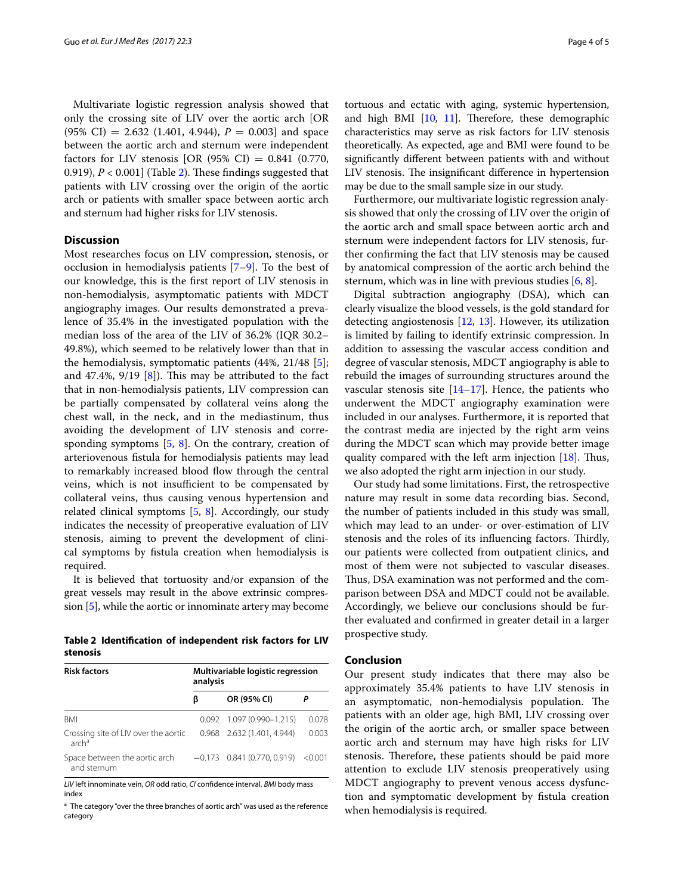Multivariate logistic regression analysis showed that only the crossing site of LIV over the aortic arch [OR  $(95\% \text{ CI}) = 2.632 \ (1.401, 4.944), P = 0.003$  and space between the aortic arch and sternum were independent factors for LIV stenosis [OR (95% CI) =  $0.841$  (0.770, 0.919), *P* < 0.001] (Table [2\)](#page-3-0). These findings suggested that patients with LIV crossing over the origin of the aortic arch or patients with smaller space between aortic arch and sternum had higher risks for LIV stenosis.

## **Discussion**

Most researches focus on LIV compression, stenosis, or occlusion in hemodialysis patients [[7–](#page-4-5)[9](#page-4-6)]. To the best of our knowledge, this is the first report of LIV stenosis in non-hemodialysis, asymptomatic patients with MDCT angiography images. Our results demonstrated a prevalence of 35.4% in the investigated population with the median loss of the area of the LIV of 36.2% (IQR 30.2– 49.8%), which seemed to be relatively lower than that in the hemodialysis, symptomatic patients (44%, 21/48 [\[5](#page-4-4)]; and 47.4%, 9/19 [\[8](#page-4-7)]). This may be attributed to the fact that in non-hemodialysis patients, LIV compression can be partially compensated by collateral veins along the chest wall, in the neck, and in the mediastinum, thus avoiding the development of LIV stenosis and corresponding symptoms [\[5](#page-4-4), [8\]](#page-4-7). On the contrary, creation of arteriovenous fistula for hemodialysis patients may lead to remarkably increased blood flow through the central veins, which is not insufficient to be compensated by collateral veins, thus causing venous hypertension and related clinical symptoms [[5,](#page-4-4) [8](#page-4-7)]. Accordingly, our study indicates the necessity of preoperative evaluation of LIV stenosis, aiming to prevent the development of clinical symptoms by fistula creation when hemodialysis is required.

It is believed that tortuosity and/or expansion of the great vessels may result in the above extrinsic compression [[5](#page-4-4)], while the aortic or innominate artery may become

<span id="page-3-0"></span>**Table 2 Identification of independent risk factors for LIV stenosis**

| <b>Risk factors</b>                               | Multivariable logistic regression<br>analysis |                                       |       |  |
|---------------------------------------------------|-----------------------------------------------|---------------------------------------|-------|--|
|                                                   | ß                                             | OR (95% CI)                           |       |  |
| <b>BMI</b>                                        |                                               | $0.092$ 1.097 (0.990-1.215)           | 0.078 |  |
| Crossing site of LIV over the aortic<br>$\arch^a$ |                                               | 0.968 2.632 (1.401, 4.944)            | 0.003 |  |
| Space between the aortic arch<br>and sternum      |                                               | $-0.173$ 0.841 (0.770, 0.919) < 0.001 |       |  |

*LIV* left innominate vein, *OR* odd ratio, *CI* confidence interval, *BMI* body mass index

<sup>a</sup> The category "over the three branches of aortic arch" was used as the reference category

tortuous and ectatic with aging, systemic hypertension, and high BMI [\[10,](#page-4-8) [11\]](#page-4-9). Therefore, these demographic characteristics may serve as risk factors for LIV stenosis theoretically. As expected, age and BMI were found to be significantly different between patients with and without LIV stenosis. The insignificant difference in hypertension may be due to the small sample size in our study.

Furthermore, our multivariate logistic regression analysis showed that only the crossing of LIV over the origin of the aortic arch and small space between aortic arch and sternum were independent factors for LIV stenosis, further confirming the fact that LIV stenosis may be caused by anatomical compression of the aortic arch behind the sternum, which was in line with previous studies [\[6](#page-4-10), [8](#page-4-7)].

Digital subtraction angiography (DSA), which can clearly visualize the blood vessels, is the gold standard for detecting angiostenosis  $[12, 13]$  $[12, 13]$  $[12, 13]$  $[12, 13]$ . However, its utilization is limited by failing to identify extrinsic compression. In addition to assessing the vascular access condition and degree of vascular stenosis, MDCT angiography is able to rebuild the images of surrounding structures around the vascular stenosis site  $[14–17]$  $[14–17]$ . Hence, the patients who underwent the MDCT angiography examination were included in our analyses. Furthermore, it is reported that the contrast media are injected by the right arm veins during the MDCT scan which may provide better image quality compared with the left arm injection  $[18]$  $[18]$ . Thus, we also adopted the right arm injection in our study.

Our study had some limitations. First, the retrospective nature may result in some data recording bias. Second, the number of patients included in this study was small, which may lead to an under- or over-estimation of LIV stenosis and the roles of its influencing factors. Thirdly, our patients were collected from outpatient clinics, and most of them were not subjected to vascular diseases. Thus, DSA examination was not performed and the comparison between DSA and MDCT could not be available. Accordingly, we believe our conclusions should be further evaluated and confirmed in greater detail in a larger prospective study.

#### **Conclusion**

Our present study indicates that there may also be approximately 35.4% patients to have LIV stenosis in an asymptomatic, non-hemodialysis population. The patients with an older age, high BMI, LIV crossing over the origin of the aortic arch, or smaller space between aortic arch and sternum may have high risks for LIV stenosis. Therefore, these patients should be paid more attention to exclude LIV stenosis preoperatively using MDCT angiography to prevent venous access dysfunction and symptomatic development by fistula creation when hemodialysis is required.